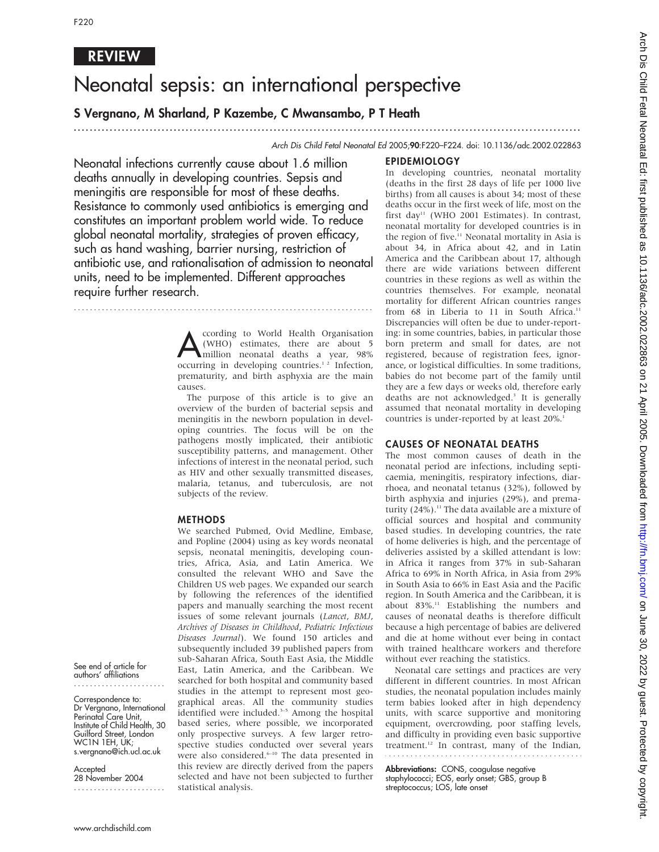# REVIEW

# Neonatal sepsis: an international perspective

# S Vergnano, M Sharland, P Kazembe, C Mwansambo, P T Heath

# ...............................................................................................................................

### Arch Dis Child Fetal Neonatal Ed 2005;90:F220–F224. doi: 10.1136/adc.2002.022863

Neonatal infections currently cause about 1.6 million deaths annually in developing countries. Sepsis and meningitis are responsible for most of these deaths. Resistance to commonly used antibiotics is emerging and constitutes an important problem world wide. To reduce global neonatal mortality, strategies of proven efficacy, such as hand washing, barrier nursing, restriction of antibiotic use, and rationalisation of admission to neonatal units, need to be implemented. Different approaches require further research.

> Cording to World Health Organisation<br>
> (WHO) estimates, there are about 5<br>
> million neonatal deaths a year, 98%<br>
> cocurring in developing countries  $\frac{1}{2}$  Infection (WHO) estimates, there are about 5 occurring in developing countries.<sup>12</sup> Infection, prematurity, and birth asphyxia are the main causes.

> The purpose of this article is to give an overview of the burden of bacterial sepsis and meningitis in the newborn population in developing countries. The focus will be on the pathogens mostly implicated, their antibiotic susceptibility patterns, and management. Other infections of interest in the neonatal period, such as HIV and other sexually transmitted diseases, malaria, tetanus, and tuberculosis, are not subjects of the review.

#### METHODS

We searched Pubmed, Ovid Medline, Embase, and Popline (2004) using as key words neonatal sepsis, neonatal meningitis, developing countries, Africa, Asia, and Latin America. We consulted the relevant WHO and Save the Children US web pages. We expanded our search by following the references of the identified papers and manually searching the most recent issues of some relevant journals (Lancet, BMJ, Archives of Diseases in Childhood, Pediatric Infectious Diseases Journal). We found 150 articles and subsequently included 39 published papers from sub-Saharan Africa, South East Asia, the Middle East, Latin America, and the Caribbean. We searched for both hospital and community based studies in the attempt to represent most geographical areas. All the community studies identified were included. $3-5$  Among the hospital based series, where possible, we incorporated only prospective surveys. A few larger retrospective studies conducted over several years were also considered.<sup>6-10</sup> The data presented in this review are directly derived from the papers selected and have not been subjected to further statistical analysis.

# EPIDEMIOLOGY

In developing countries, neonatal mortality (deaths in the first 28 days of life per 1000 live births) from all causes is about 34; most of these deaths occur in the first week of life, most on the first day<sup>11</sup> (WHO 2001 Estimates). In contrast, neonatal mortality for developed countries is in the region of five. $\frac{1}{11}$  Neonatal mortality in Asia is about 34, in Africa about 42, and in Latin America and the Caribbean about 17, although there are wide variations between different countries in these regions as well as within the countries themselves. For example, neonatal mortality for different African countries ranges from 68 in Liberia to 11 in South Africa.<sup>11</sup> Discrepancies will often be due to under-reporting: in some countries, babies, in particular those born preterm and small for dates, are not registered, because of registration fees, ignorance, or logistical difficulties. In some traditions, babies do not become part of the family until they are a few days or weeks old, therefore early deaths are not acknowledged.<sup>3</sup> It is generally assumed that neonatal mortality in developing countries is under-reported by at least 20%.<sup>1</sup>

#### CAUSES OF NEONATAL DEATHS

The most common causes of death in the neonatal period are infections, including septicaemia, meningitis, respiratory infections, diarrhoea, and neonatal tetanus (32%), followed by birth asphyxia and injuries (29%), and prematurity  $(24\%)$ .<sup>11</sup> The data available are a mixture of official sources and hospital and community based studies. In developing countries, the rate of home deliveries is high, and the percentage of deliveries assisted by a skilled attendant is low: in Africa it ranges from 37% in sub-Saharan Africa to 69% in North Africa, in Asia from 29% in South Asia to 66% in East Asia and the Pacific region. In South America and the Caribbean, it is about 83%.<sup>11</sup> Establishing the numbers and causes of neonatal deaths is therefore difficult because a high percentage of babies are delivered and die at home without ever being in contact with trained healthcare workers and therefore without ever reaching the statistics.

Neonatal care settings and practices are very different in different countries. In most African studies, the neonatal population includes mainly term babies looked after in high dependency units, with scarce supportive and monitoring equipment, overcrowding, poor staffing levels, and difficulty in providing even basic supportive treatment.<sup>12</sup> In contrast, many of the Indian,

Abbreviations: CONS, coagulase negative staphylococci; EOS, early onset; GBS, group B streptococcus; LOS, late onset

See end of article for authors' affiliations .......................

Correspondence to: Dr Vergnano, International Perinatal Care Unit, Institute of Child Health, 30 Guilford Street, London WC1N 1EH, UK; s.vergnano@ich.ucl.ac.uk

**Accepted** 28 November 2004 .......................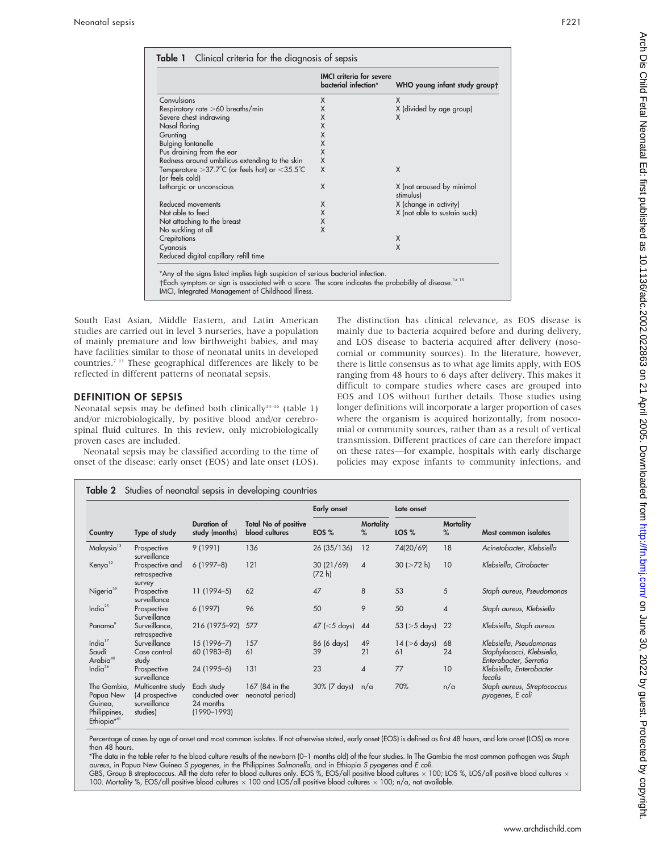|                                                                      | <b>IMCI</b> criteria for severe<br>bacterial infection* | WHO young infant study groupt          |  |  |
|----------------------------------------------------------------------|---------------------------------------------------------|----------------------------------------|--|--|
| Convulsions                                                          | X                                                       | X                                      |  |  |
| Respiratory rate >60 breaths/min                                     | X                                                       | X (divided by age group)               |  |  |
| Severe chest indrawing                                               | X                                                       | X                                      |  |  |
| Nasal flaring                                                        | X                                                       |                                        |  |  |
| Grunting                                                             | X                                                       |                                        |  |  |
| <b>Bulging fontanelle</b>                                            | X                                                       |                                        |  |  |
| Pus draining from the ear                                            | X                                                       |                                        |  |  |
| Redness around umbilicus extending to the skin                       | X                                                       |                                        |  |  |
| Temperature > 37.7°C (or feels hot) or $<$ 35.5°C<br>(or feels cold) | X                                                       | X                                      |  |  |
| Lethargic or unconscious                                             | X                                                       | X (not aroused by minimal<br>stimulus) |  |  |
| Reduced movements                                                    | X                                                       | X (change in activity)                 |  |  |
| Not able to feed                                                     | X                                                       | X (not able to sustain suck)           |  |  |
| Not attaching to the breast                                          | X                                                       |                                        |  |  |
| No suckling at all                                                   | X                                                       |                                        |  |  |
| Crepitations                                                         |                                                         | X                                      |  |  |
| Cyanosis                                                             |                                                         | $\sf X$                                |  |  |
| Reduced digital capillary refill time                                |                                                         |                                        |  |  |

South East Asian, Middle Eastern, and Latin American studies are carried out in level 3 nurseries, have a population of mainly premature and low birthweight babies, and may have facilities similar to those of neonatal units in developed countries.7 13 These geographical differences are likely to be reflected in different patterns of neonatal sepsis.

#### DEFINITION OF SEPSIS

Neonatal sepsis may be defined both clinically $14-16$  (table 1) and/or microbiologically, by positive blood and/or cerebrospinal fluid cultures. In this review, only microbiologically proven cases are included.

Neonatal sepsis may be classified according to the time of onset of the disease: early onset (EOS) and late onset (LOS). The distinction has clinical relevance, as EOS disease is mainly due to bacteria acquired before and during delivery, and LOS disease to bacteria acquired after delivery (nosocomial or community sources). In the literature, however, there is little consensus as to what age limits apply, with EOS ranging from 48 hours to 6 days after delivery. This makes it difficult to compare studies where cases are grouped into EOS and LOS without further details. Those studies using longer definitions will incorporate a larger proportion of cases where the organism is acquired horizontally, from nosocomial or community sources, rather than as a result of vertical transmission. Different practices of care can therefore impact on these rates—for example, hospitals with early discharge policies may expose infants to community infections, and

| Country                                                                        | Type of study                                                   | <b>Duration of</b><br>study (months)                         | <b>Total No of positive</b><br>blood cultures | <b>Early onset</b>  |                       | Late onset        |                       |                                                      |
|--------------------------------------------------------------------------------|-----------------------------------------------------------------|--------------------------------------------------------------|-----------------------------------------------|---------------------|-----------------------|-------------------|-----------------------|------------------------------------------------------|
|                                                                                |                                                                 |                                                              |                                               | EOS %               | <b>Mortality</b><br>% | LOS %             | <b>Mortality</b><br>% | Most common isolates                                 |
| Malaysia <sup>13</sup>                                                         | Prospective<br>surveillance                                     | 9(1991)                                                      | 136                                           | 26 (35/136)         | 12                    | 74(20/69)         | 18                    | Acinetobacter, Klebsiella                            |
| Kenya <sup>12</sup>                                                            | Prospective and<br>retrospective<br>survey                      | $6(1997-8)$                                                  | 121                                           | 30(21/69)<br>(72 h) | $\overline{4}$        | 30 ( $>72$ h)     | 10                    | Klebsiella, Citrobacter                              |
| Nigeria <sup>39</sup>                                                          | Prospective<br>surveillance                                     | 11 (1994-5)                                                  | 62                                            | 47                  | 8                     | 53                | 5                     | Staph aureus, Pseudomonas                            |
| India $25$                                                                     | Prospective<br>Surveillance                                     | 6 (1997)                                                     | 96                                            | 50                  | 9                     | 50                | $\overline{4}$        | Staph aureus, Klebsiella                             |
| Panama <sup>9</sup>                                                            | Surveillance,<br>retrospective                                  | 216 (1975-92)                                                | 577                                           | $47$ ( $<$ 5 days)  | 44                    | 53 ( $>5$ days)   | 22                    | Klebsiella, Staph aureus                             |
| India $17$                                                                     | Surveillance                                                    | 15 (1996-7)                                                  | 157                                           | 86 (6 days)         | 49                    | $14$ ( $>6$ days) | 68                    | Klebsiella, Pseudomonas                              |
| Saudi<br>Arabia <sup>40</sup>                                                  | Case control<br>study                                           | 60 (1983-8)                                                  | 61                                            | 39                  | 21                    | 61                | 24                    | Staphylococci, Klebsiella,<br>Enterobacter, Serratia |
| India <sup>36</sup>                                                            | Prospective<br>surveillance                                     | 24 (1995-6)                                                  | 131                                           | 23                  | $\overline{4}$        | 77                | 10                    | Klebsiella, Enterobacter<br>fecalis                  |
| The Gambia,<br>Papua New<br>Guinea,<br>Philippines,<br>Ethiopia <sup>*41</sup> | Multicentre study<br>(4 prospective<br>surveillance<br>studies) | Each study<br>conducted over<br>24 months<br>$(1990 - 1993)$ | 167 (84 in the<br>neonatal period)            | 30% (7 days)        | n/a                   | 70%               | n/a                   | Staph aureus, Streptococcus<br>pyogenes, E coli      |

Percentage of cases by age of onset and most common isolates. If not otherwise stated, early onset (EOS) is defined as first 48 hours, and late onset (LOS) as more than 48 hours.

\*The data in the table refer to the blood culture results of the newborn (0–1 months old) of the four studies. In The Gambia the most common pathogen was Staph aureus, in Papua New Guinea S pyogenes, in the Philippines Salmonella, and in Ethiopia S pyogenes and E coli.

GBS, Group B streptococcus. All the data refer to blood cultures only. EOS %, EOS/all positive blood cultures × 100; LOS %, LOS/all positive blood cultures × 100. Mortality %, EOS/all positive blood cultures  $\times$  100 and LOS/all positive blood cultures  $\times$  100; n/a, not available.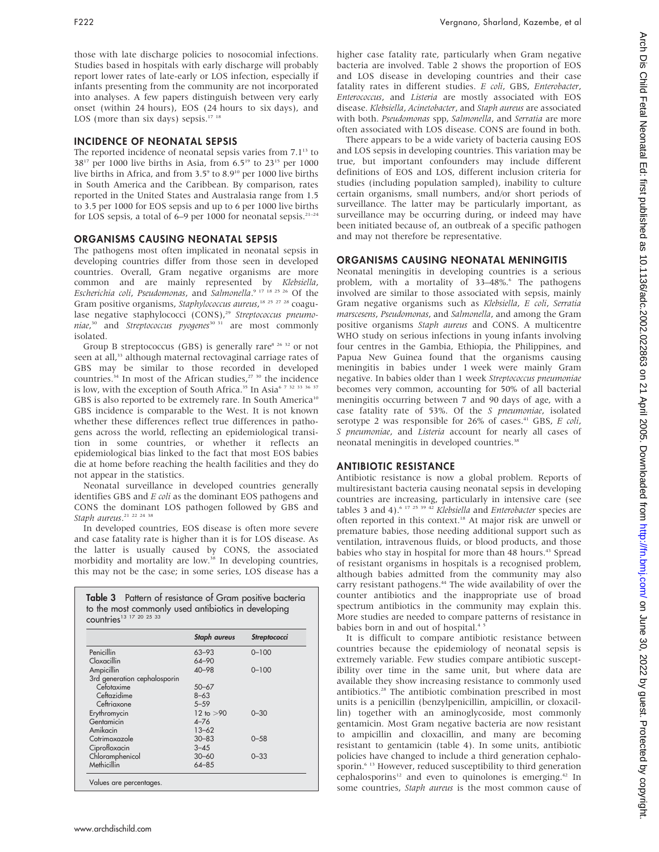those with late discharge policies to nosocomial infections. Studies based in hospitals with early discharge will probably report lower rates of late-early or LOS infection, especially if infants presenting from the community are not incorporated into analyses. A few papers distinguish between very early onset (within 24 hours), EOS (24 hours to six days), and LOS (more than six days) sepsis. $171$ 

# INCIDENCE OF NEONATAL SEPSIS

The reported incidence of neonatal sepsis varies from  $7.1^{13}$  to  $38^{17}$  per 1000 live births in Asia, from  $6.5^{19}$  to  $23^{15}$  per 1000 live births in Africa, and from  $3.5^{\circ}$  to  $8.9^{10}$  per 1000 live births in South America and the Caribbean. By comparison, rates reported in the United States and Australasia range from 1.5 to 3.5 per 1000 for EOS sepsis and up to 6 per 1000 live births for LOS sepsis, a total of  $6-9$  per 1000 for neonatal sepsis.<sup>21-24</sup>

# ORGANISMS CAUSING NEONATAL SEPSIS

The pathogens most often implicated in neonatal sepsis in developing countries differ from those seen in developed countries. Overall, Gram negative organisms are more common and are mainly represented by Klebsiella, Escherichia coli, Pseudomonas, and Salmonella.<sup>9 17 18 25 26</sup> Of the Gram positive organisms, Staphylococcus aureus,<sup>18 25</sup> <sup>27</sup> <sup>28</sup> coagulase negative staphylococci (CONS),<sup>29</sup> Streptococcus pneumoniae,<sup>30</sup> and Streptococcus pyogenes<sup>30 31</sup> are most commonly isolated.

Group B streptococcus (GBS) is generally rare<sup>8 26 32</sup> or not seen at all,<sup>33</sup> although maternal rectovaginal carriage rates of GBS may be similar to those recorded in developed countries.<sup>34</sup> In most of the African studies,<sup>27</sup> <sup>30</sup> the incidence is low, with the exception of South Africa.<sup>35</sup> In Asia<sup>6 7 32 33 36 37</sup> GBS is also reported to be extremely rare. In South America<sup>10</sup> GBS incidence is comparable to the West. It is not known whether these differences reflect true differences in pathogens across the world, reflecting an epidemiological transition in some countries, or whether it reflects an epidemiological bias linked to the fact that most EOS babies die at home before reaching the health facilities and they do not appear in the statistics.

Neonatal surveillance in developed countries generally identifies GBS and E coli as the dominant EOS pathogens and CONS the dominant LOS pathogen followed by GBS and Staph aureus. 21 22 24 38

In developed countries, EOS disease is often more severe and case fatality rate is higher than it is for LOS disease. As the latter is usually caused by CONS, the associated morbidity and mortality are low.<sup>38</sup> In developing countries, this may not be the case; in some series, LOS disease has a

| to the most commonly used antibiotics in developing<br>countries <sup>13</sup> 17 20 25 33 |              |                     |
|--------------------------------------------------------------------------------------------|--------------|---------------------|
|                                                                                            | Staph aureus | <b>Streptococci</b> |
| Penicillin                                                                                 | $63 - 93$    | $0 - 100$           |
| Cloxacillin                                                                                | $64 - 90$    |                     |
| Ampicillin                                                                                 | $40 - 98$    | $0 - 100$           |
| 3rd generation cephalosporin                                                               |              |                     |
| Cefotaxime                                                                                 | $50 - 67$    |                     |
| Ceftazidime                                                                                | $8 - 63$     |                     |
| Ceftriaxone                                                                                | $5 - 59$     |                     |
| Erythromycin                                                                               | 12 to $>90$  | $0 - 30$            |
| Gentamicin                                                                                 | $4 - 76$     |                     |
| Amikacin                                                                                   | $13 - 62$    |                     |
| Cotrimoxazole                                                                              | $30 - 83$    | $0 - 58$            |
| Ciprofloxacin                                                                              | $3 - 45$     |                     |
| Chloramphenicol                                                                            | $30 - 60$    | $0 - 33$            |
| Methicillin                                                                                | $64 - 85$    |                     |

higher case fatality rate, particularly when Gram negative bacteria are involved. Table 2 shows the proportion of EOS and LOS disease in developing countries and their case fatality rates in different studies. E coli, GBS, Enterobacter, Enterococcus, and Listeria are mostly associated with EOS disease. Klebsiella, Acinetobacter, and Staph aureus are associated with both. Pseudomonas spp, Salmonella, and Serratia are more often associated with LOS disease. CONS are found in both.

There appears to be a wide variety of bacteria causing EOS and LOS sepsis in developing countries. This variation may be true, but important confounders may include different definitions of EOS and LOS, different inclusion criteria for studies (including population sampled), inability to culture certain organisms, small numbers, and/or short periods of surveillance. The latter may be particularly important, as surveillance may be occurring during, or indeed may have been initiated because of, an outbreak of a specific pathogen and may not therefore be representative.

# ORGANISMS CAUSING NEONATAL MENINGITIS

Neonatal meningitis in developing countries is a serious problem, with a mortality of 33-48%.<sup>6</sup> The pathogens involved are similar to those associated with sepsis, mainly Gram negative organisms such as Klebsiella, E coli, Serratia marscesens, Pseudomonas, and Salmonella, and among the Gram positive organisms Staph aureus and CONS. A multicentre WHO study on serious infections in young infants involving four centres in the Gambia, Ethiopia, the Philippines, and Papua New Guinea found that the organisms causing meningitis in babies under 1 week were mainly Gram negative. In babies older than 1 week Streptococcus pneumoniae becomes very common, accounting for 50% of all bacterial meningitis occurring between 7 and 90 days of age, with a case fatality rate of 53%. Of the S pneumoniae, isolated serotype 2 was responsible for 26% of cases.<sup>41</sup> GBS, E coli, S pneumoniae, and Listeria account for nearly all cases of neonatal meningitis in developed countries.<sup>38</sup>

# ANTIBIOTIC RESISTANCE

Antibiotic resistance is now a global problem. Reports of multiresistant bacteria causing neonatal sepsis in developing countries are increasing, particularly in intensive care (see tables 3 and 4).<sup>6 17 25 39 42</sup> Klebsiella and Enterobacter species are often reported in this context.18 At major risk are unwell or premature babies, those needing additional support such as ventilation, intravenous fluids, or blood products, and those babies who stay in hospital for more than 48 hours.<sup>43</sup> Spread of resistant organisms in hospitals is a recognised problem, although babies admitted from the community may also carry resistant pathogens.<sup>44</sup> The wide availability of over the counter antibiotics and the inappropriate use of broad spectrum antibiotics in the community may explain this. More studies are needed to compare patterns of resistance in babies born in and out of hospital.<sup>45</sup>

It is difficult to compare antibiotic resistance between countries because the epidemiology of neonatal sepsis is extremely variable. Few studies compare antibiotic susceptibility over time in the same unit, but where data are available they show increasing resistance to commonly used antibiotics.28 The antibiotic combination prescribed in most units is a penicillin (benzylpenicillin, ampicillin, or cloxacillin) together with an aminoglycoside, most commonly gentamicin. Most Gram negative bacteria are now resistant to ampicillin and cloxacillin, and many are becoming resistant to gentamicin (table 4). In some units, antibiotic policies have changed to include a third generation cephalosporin.<sup>6 13</sup> However, reduced susceptibility to third generation cephalosporins<sup>12</sup> and even to quinolones is emerging.<sup>42</sup> In some countries, Staph aureus is the most common cause of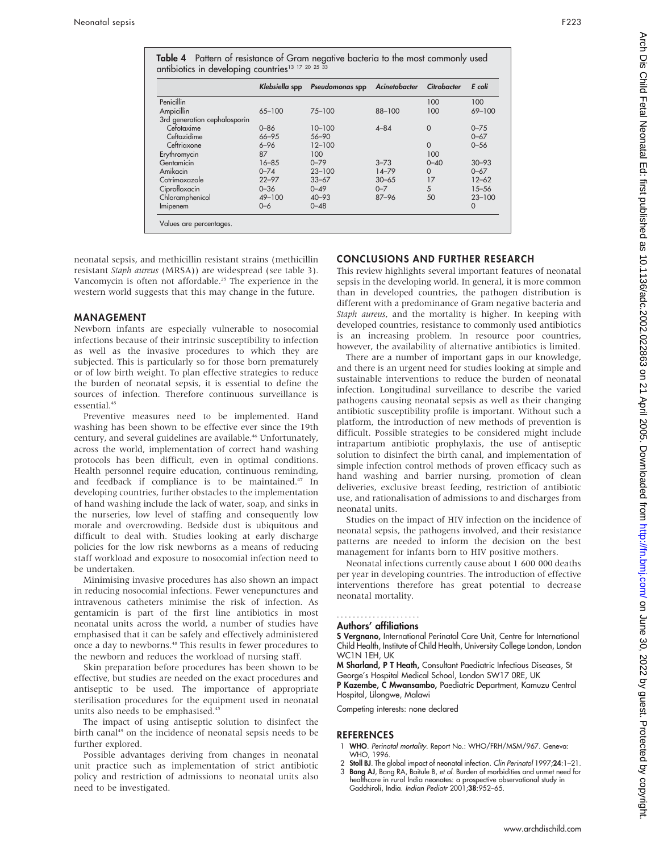| Arch Dis Child Fetal Neonatal Ed: first published as 10.1136/adc.2002.022863 on 21 April 2005. Downloaded fr. |
|---------------------------------------------------------------------------------------------------------------|
|                                                                                                               |
|                                                                                                               |
|                                                                                                               |
|                                                                                                               |
|                                                                                                               |
|                                                                                                               |
|                                                                                                               |
|                                                                                                               |
|                                                                                                               |
|                                                                                                               |
|                                                                                                               |
|                                                                                                               |
|                                                                                                               |
|                                                                                                               |
|                                                                                                               |
|                                                                                                               |
|                                                                                                               |
|                                                                                                               |
|                                                                                                               |
|                                                                                                               |
|                                                                                                               |
|                                                                                                               |
|                                                                                                               |
|                                                                                                               |
| on lone 30, 2022 by grected by copyright:                                                                     |

| <b>Table 4</b> Pattern of resistance of Gram negative bacteria to the most commonly used<br>antibiotics in developing countries <sup>13</sup> 17 20 25 33 |                |                 |               |             |            |  |  |
|-----------------------------------------------------------------------------------------------------------------------------------------------------------|----------------|-----------------|---------------|-------------|------------|--|--|
|                                                                                                                                                           | Klebsiella spp | Pseudomonas spp | Acinetobacter | Citrobacter | E coli     |  |  |
| Penicillin                                                                                                                                                |                |                 |               | 100         | 100        |  |  |
| Ampicillin                                                                                                                                                | $65 - 100$     | $75 - 100$      | $88 - 100$    | 100         | $69 - 100$ |  |  |
| 3rd generation cephalosporin                                                                                                                              |                |                 |               |             |            |  |  |
| Cefotaxime                                                                                                                                                | $0 - 86$       | $10 - 100$      | $4 - 84$      | $\Omega$    | $0 - 75$   |  |  |
| Ceftazidime                                                                                                                                               | $66 - 95$      | $56 - 90$       |               |             | $0 - 67$   |  |  |
| Ceftriaxone                                                                                                                                               | $6 - 96$       | $12 - 100$      |               | $\Omega$    | $0 - 56$   |  |  |
| Erythromycin                                                                                                                                              | 87             | 100             |               | 100         |            |  |  |
| Gentamicin                                                                                                                                                | $16 - 85$      | $0 - 79$        | $3 - 73$      | $0 - 40$    | $30 - 93$  |  |  |
| Amikacin                                                                                                                                                  | $0 - 74$       | $23 - 100$      | $14 - 79$     | $\Omega$    | $0 - 67$   |  |  |
| Cotrimoxazole                                                                                                                                             | $22 - 97$      | $33 - 67$       | $30 - 65$     | 17          | $12 - 62$  |  |  |
| Ciprofloxacin                                                                                                                                             | $0 - 36$       | $0 - 49$        | $0 - 7$       | 5           | $15 - 56$  |  |  |
| Chloramphenicol                                                                                                                                           | $49 - 100$     | $40 - 93$       | $87 - 96$     | 50          | $23 - 100$ |  |  |

Imipenem 0–6 0–48 0

neonatal sepsis, and methicillin resistant strains (methicillin resistant Staph aureus (MRSA)) are widespread (see table 3). Vancomycin is often not affordable.<sup>25</sup> The experience in the western world suggests that this may change in the future.

Values are percentages.

#### MANAGEMENT

Newborn infants are especially vulnerable to nosocomial infections because of their intrinsic susceptibility to infection as well as the invasive procedures to which they are subjected. This is particularly so for those born prematurely or of low birth weight. To plan effective strategies to reduce the burden of neonatal sepsis, it is essential to define the sources of infection. Therefore continuous surveillance is essential.45

Preventive measures need to be implemented. Hand washing has been shown to be effective ever since the 19th century, and several guidelines are available.<sup>46</sup> Unfortunately, across the world, implementation of correct hand washing protocols has been difficult, even in optimal conditions. Health personnel require education, continuous reminding, and feedback if compliance is to be maintained.<sup>47</sup> In developing countries, further obstacles to the implementation of hand washing include the lack of water, soap, and sinks in the nurseries, low level of staffing and consequently low morale and overcrowding. Bedside dust is ubiquitous and difficult to deal with. Studies looking at early discharge policies for the low risk newborns as a means of reducing staff workload and exposure to nosocomial infection need to be undertaken.

Minimising invasive procedures has also shown an impact in reducing nosocomial infections. Fewer venepunctures and intravenous catheters minimise the risk of infection. As gentamicin is part of the first line antibiotics in most neonatal units across the world, a number of studies have emphasised that it can be safely and effectively administered once a day to newborns.48 This results in fewer procedures to the newborn and reduces the workload of nursing staff.

Skin preparation before procedures has been shown to be effective, but studies are needed on the exact procedures and antiseptic to be used. The importance of appropriate sterilisation procedures for the equipment used in neonatal units also needs to be emphasised.<sup>45</sup>

The impact of using antiseptic solution to disinfect the birth canal<sup>49</sup> on the incidence of neonatal sepsis needs to be further explored.

Possible advantages deriving from changes in neonatal unit practice such as implementation of strict antibiotic policy and restriction of admissions to neonatal units also need to be investigated.

#### CONCLUSIONS AND FURTHER RESEARCH

This review highlights several important features of neonatal sepsis in the developing world. In general, it is more common than in developed countries, the pathogen distribution is different with a predominance of Gram negative bacteria and Staph aureus, and the mortality is higher. In keeping with developed countries, resistance to commonly used antibiotics is an increasing problem. In resource poor countries, however, the availability of alternative antibiotics is limited.

There are a number of important gaps in our knowledge, and there is an urgent need for studies looking at simple and sustainable interventions to reduce the burden of neonatal infection. Longitudinal surveillance to describe the varied pathogens causing neonatal sepsis as well as their changing antibiotic susceptibility profile is important. Without such a platform, the introduction of new methods of prevention is difficult. Possible strategies to be considered might include intrapartum antibiotic prophylaxis, the use of antiseptic solution to disinfect the birth canal, and implementation of simple infection control methods of proven efficacy such as hand washing and barrier nursing, promotion of clean deliveries, exclusive breast feeding, restriction of antibiotic use, and rationalisation of admissions to and discharges from neonatal units.

Studies on the impact of HIV infection on the incidence of neonatal sepsis, the pathogens involved, and their resistance patterns are needed to inform the decision on the best management for infants born to HIV positive mothers.

Neonatal infections currently cause about 1 600 000 deaths per year in developing countries. The introduction of effective interventions therefore has great potential to decrease neonatal mortality.

#### Authors' affiliations .....................

S Vergnano, International Perinatal Care Unit, Centre for International Child Health, Institute of Child Health, University College London, London WC1N 1EH, UK

M Sharland, P T Heath, Consultant Paediatric Infectious Diseases, St George's Hospital Medical School, London SW17 0RE, UK

P Kazembe, C Mwansambo, Paediatric Department, Kamuzu Central Hospital, Lilongwe, Malawi

Competing interests: none declared

#### REFERENCES

- 1 WHO. Perinatal mortality. Report No.: WHO/FRH/MSM/967. Geneva: WHO, 1996.
- 2 Stoll BJ. The global impact of neonatal infection. Clin Perinatol 1997;24:1-21.
- 3 Bang AJ, Bang RA, Baitule B, et al. Burden of morbidities and unmet need for healthcare in rural India neonates: a prospective observational study in<br>Gadchiroli, India. *Indian Pediatr* 2001;**38**:952–65.